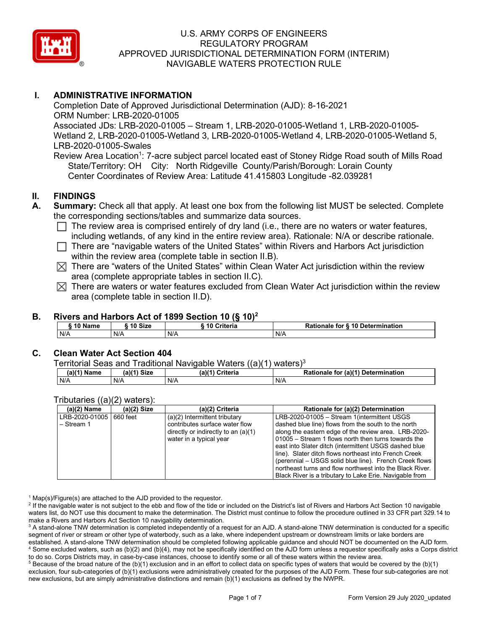

# **I. ADMINISTRATIVE INFORMATION**

Completion Date of Approved Jurisdictional Determination (AJD): 8-16-2021 ORM Number: LRB-2020-01005 Associated JDs: LRB-2020-01005 – Stream 1, LRB-2020-01005-Wetland 1, LRB-2020-01005- Wetland 2, LRB-2020-01005-Wetland 3, LRB-2020-01005-Wetland 4, LRB-2020-01005-Wetland 5, LRB-2020-01005-Swales

Review Area Location<sup>1</sup>: 7-acre subject parcel located east of Stoney Ridge Road south of Mills Road State/Territory: OH City: North Ridgeville County/Parish/Borough: Lorain County Center Coordinates of Review Area: Latitude 41.415803 Longitude -82.039281

### **II. FINDINGS**

- **A. Summary:** Check all that apply. At least one box from the following list MUST be selected. Complete the corresponding sections/tables and summarize data sources.
	- $\Box$  The review area is comprised entirely of dry land (i.e., there are no waters or water features, including wetlands, of any kind in the entire review area). Rationale: N/A or describe rationale.
	- $\Box$  There are "navigable waters of the United States" within Rivers and Harbors Act jurisdiction within the review area (complete table in section II.B).
	- $\boxtimes$  There are "waters of the United States" within Clean Water Act jurisdiction within the review area (complete appropriate tables in section II.C).
	- $\boxtimes$  There are waters or water features excluded from Clean Water Act jurisdiction within the review area (complete table in section II.D).

# **B. Rivers and Harbors Act of 1899 Section 10 (§ 10)2**

| - -<br>Name | 10 Size | <br>10 Critoria<br>ΊU<br><b>UNICH</b> | 10 Determ<br>Ratio<br>mination<br>, for<br>onale |
|-------------|---------|---------------------------------------|--------------------------------------------------|
| N/A         | N/A     | N/A                                   | N/A                                              |

#### **C. Clean Water Act Section 404**

Territorial Seas and Traditional Navigable Waters ((a)(1) waters)3

| .<br>-------<br>-----------------------<br>.<br>. |      |                    |                                                   |  |  |
|---------------------------------------------------|------|--------------------|---------------------------------------------------|--|--|
| (a)(1)<br>Name                                    | Size | (a)(1)<br>Criteria | . for (a)(1)<br><b>Determination</b><br>Rationale |  |  |
| N/A                                               | N/A  | N/A                | N/A                                               |  |  |

#### Tributaries ((a)(2) waters):

| $\frac{1}{1}$                  |             |                                                                                                                                       |                                                                                                                                                                                                                                                                                                                                                                                                                                                                                                                      |
|--------------------------------|-------------|---------------------------------------------------------------------------------------------------------------------------------------|----------------------------------------------------------------------------------------------------------------------------------------------------------------------------------------------------------------------------------------------------------------------------------------------------------------------------------------------------------------------------------------------------------------------------------------------------------------------------------------------------------------------|
| (a)(2) Name                    | (a)(2) Size | (a)(2) Criteria                                                                                                                       | Rationale for (a)(2) Determination                                                                                                                                                                                                                                                                                                                                                                                                                                                                                   |
| LRB-2020-01005<br>$-$ Stream 1 | 660 feet    | $(a)(2)$ Intermittent tributary<br>contributes surface water flow<br>directly or indirectly to an $(a)(1)$<br>water in a typical year | LRB-2020-01005 - Stream 1(intermittent USGS<br>dashed blue line) flows from the south to the north<br>along the eastern edge of the review area. LRB-2020-<br>01005 – Stream 1 flows north then turns towards the<br>east into Slater ditch (intermittent USGS dashed blue<br>line). Slater ditch flows northeast into French Creek<br>(perennial – USGS solid blue line). French Creek flows<br>northeast turns and flow northwest into the Black River.<br>Black River is a tributary to Lake Erie. Navigable from |

 $1$  Map(s)/Figure(s) are attached to the AJD provided to the requestor.

<sup>2</sup> If the navigable water is not subject to the ebb and flow of the tide or included on the District's list of Rivers and Harbors Act Section 10 navigable waters list, do NOT use this document to make the determination. The District must continue to follow the procedure outlined in 33 CFR part 329.14 to make a Rivers and Harbors Act Section 10 navigability determination.

<sup>3</sup> A stand-alone TNW determination is completed independently of a request for an AJD. A stand-alone TNW determination is conducted for a specific segment of river or stream or other type of waterbody, such as a lake, where independent upstream or downstream limits or lake borders are established. A stand-alone TNW determination should be completed following applicable guidance and should NOT be documented on the AJD form. <sup>4</sup> Some excluded waters, such as (b)(2) and (b)(4), may not be specifically identified on the AJD form unless a requestor specifically asks a Corps district to do so. Corps Districts may, in case-by-case instances, choose to identify some or all of these waters within the review area.

 $5$  Because of the broad nature of the (b)(1) exclusion and in an effort to collect data on specific types of waters that would be covered by the (b)(1) exclusion, four sub-categories of (b)(1) exclusions were administratively created for the purposes of the AJD Form. These four sub-categories are not new exclusions, but are simply administrative distinctions and remain (b)(1) exclusions as defined by the NWPR.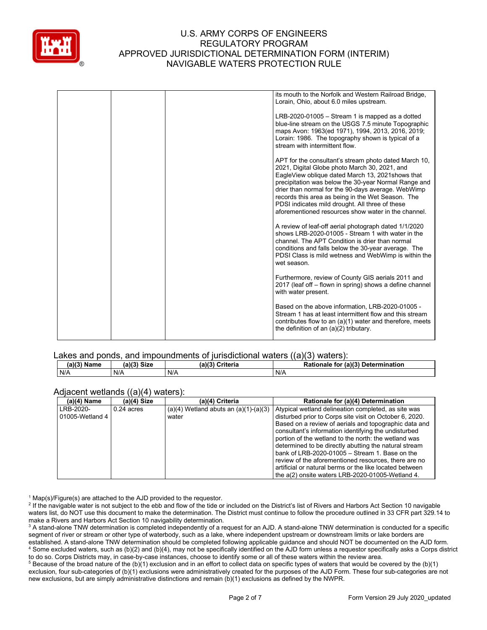

| its mouth to the Norfolk and Western Railroad Bridge,<br>Lorain, Ohio, about 6.0 miles upstream.                                                                                                                                                                                                                                                                                                                                        |
|-----------------------------------------------------------------------------------------------------------------------------------------------------------------------------------------------------------------------------------------------------------------------------------------------------------------------------------------------------------------------------------------------------------------------------------------|
| $LRB-2020-01005 - Stream 1$ is mapped as a dotted<br>blue-line stream on the USGS 7.5 minute Topographic<br>maps Avon: 1963(ed 1971), 1994, 2013, 2016, 2019;<br>Lorain: 1986. The topography shown is typical of a<br>stream with intermittent flow.                                                                                                                                                                                   |
| APT for the consultant's stream photo dated March 10,<br>2021, Digital Globe photo March 30, 2021, and<br>EagleView oblique dated March 13, 2021 shows that<br>precipitation was below the 30-year Normal Range and<br>drier than normal for the 90-days average. WebWimp<br>records this area as being in the Wet Season. The<br>PDSI indicates mild drought. All three of these<br>aforementioned resources show water in the channel |
| A review of leaf-off aerial photograph dated 1/1/2020<br>shows LRB-2020-01005 - Stream 1 with water in the<br>channel. The APT Condition is drier than normal<br>conditions and falls below the 30-year average. The<br>PDSI Class is mild wetness and WebWimp is within the<br>wet season                                                                                                                                              |
| Furthermore, review of County GIS aerials 2011 and<br>2017 (leaf off - flown in spring) shows a define channel<br>with water present.                                                                                                                                                                                                                                                                                                   |
| Based on the above information, LRB-2020-01005 -<br>Stream 1 has at least intermittent flow and this stream<br>contributes flow to an (a)(1) water and therefore, meets<br>the definition of an $(a)(2)$ tributary.                                                                                                                                                                                                                     |
|                                                                                                                                                                                                                                                                                                                                                                                                                                         |

#### Lakes and ponds, and impoundments of jurisdictional waters ((a)(3) waters):

| (a)(3) Name | (a)(3)      | (a)(3)   | for (a)(3) Determination |
|-------------|-------------|----------|--------------------------|
|             | <b>Size</b> | Criteria | Rationale                |
| N/A         | N/A         | N/A      | N/A                      |

#### Adjacent wetlands ((a)(4) waters):

| $(a)(4)$ Name   | ,, ,, ,<br>(a)(4) Size | (a)(4) Criteria                           | Rationale for (a)(4) Determination                      |
|-----------------|------------------------|-------------------------------------------|---------------------------------------------------------|
| LRB-2020-       | $0.24$ acres           | $(a)(4)$ Wetland abuts an $(a)(1)-(a)(3)$ | Atypical wetland delineation completed, as site was     |
| 01005-Wetland 4 |                        | water                                     | disturbed prior to Corps site visit on October 6, 2020. |
|                 |                        |                                           | Based on a review of aerials and topographic data and   |
|                 |                        |                                           | consultant's information identifying the undisturbed    |
|                 |                        |                                           | portion of the wetland to the north: the wetland was    |
|                 |                        |                                           | determined to be directly abutting the natural stream   |
|                 |                        |                                           | bank of LRB-2020-01005 $-$ Stream 1. Base on the        |
|                 |                        |                                           | review of the aforementioned resources, there are no    |
|                 |                        |                                           | artificial or natural berms or the like located between |
|                 |                        |                                           | the a(2) onsite waters LRB-2020-01005-Wetland 4.        |

 $1$  Map(s)/Figure(s) are attached to the AJD provided to the requestor.

<sup>2</sup> If the navigable water is not subject to the ebb and flow of the tide or included on the District's list of Rivers and Harbors Act Section 10 navigable waters list, do NOT use this document to make the determination. The District must continue to follow the procedure outlined in 33 CFR part 329.14 to make a Rivers and Harbors Act Section 10 navigability determination.

<sup>3</sup> A stand-alone TNW determination is completed independently of a request for an AJD. A stand-alone TNW determination is conducted for a specific segment of river or stream or other type of waterbody, such as a lake, where independent upstream or downstream limits or lake borders are established. A stand-alone TNW determination should be completed following applicable guidance and should NOT be documented on the AJD form. <sup>4</sup> Some excluded waters, such as (b)(2) and (b)(4), may not be specifically identified on the AJD form unless a requestor specifically asks a Corps district to do so. Corps Districts may, in case-by-case instances, choose to identify some or all of these waters within the review area.

<sup>5</sup> Because of the broad nature of the (b)(1) exclusion and in an effort to collect data on specific types of waters that would be covered by the (b)(1) exclusion, four sub-categories of (b)(1) exclusions were administratively created for the purposes of the AJD Form. These four sub-categories are not new exclusions, but are simply administrative distinctions and remain (b)(1) exclusions as defined by the NWPR.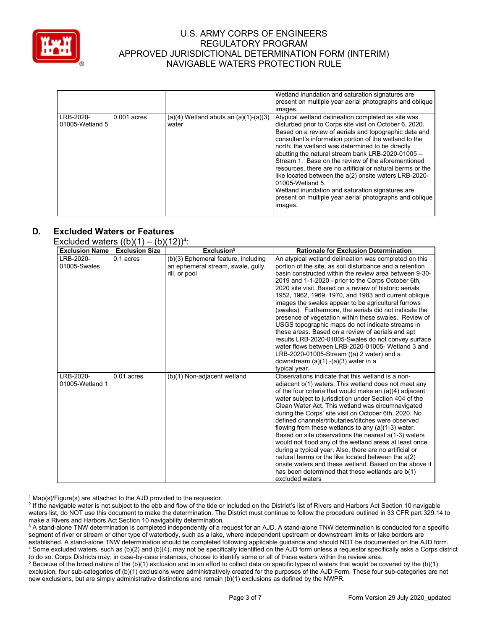

|                 |               |                                           | Wetland inundation and saturation signatures are<br>present on multiple year aerial photographs and oblique<br>images |
|-----------------|---------------|-------------------------------------------|-----------------------------------------------------------------------------------------------------------------------|
| LRB-2020-       | $0.001$ acres | $(a)(4)$ Wetland abuts an $(a)(1)-(a)(3)$ | Atypical wetland delineation completed as site was                                                                    |
|                 |               |                                           |                                                                                                                       |
| 01005-Wetland 5 |               | water                                     | disturbed prior to Corps site visit on October 6, 2020.                                                               |
|                 |               |                                           | Based on a review of aerials and topographic data and                                                                 |
|                 |               |                                           | consultant's information portion of the wetland to the                                                                |
|                 |               |                                           | north: the wetland was determined to be directly                                                                      |
|                 |               |                                           | abutting the natural stream bank LRB-2020-01005 -                                                                     |
|                 |               |                                           | Stream 1. Base on the review of the aforementioned                                                                    |
|                 |               |                                           | resources, there are no artificial or natural berms or the                                                            |
|                 |               |                                           | like located between the a(2) onsite waters LRB-2020-                                                                 |
|                 |               |                                           | 01005-Wetland 5.                                                                                                      |
|                 |               |                                           | Wetland inundation and saturation signatures are                                                                      |
|                 |               |                                           | present on multiple year aerial photographs and oblique                                                               |
|                 |               |                                           | images.                                                                                                               |
|                 |               |                                           |                                                                                                                       |

# **D. Excluded Waters or Features**

Excluded waters  $((b)(1) - (b)(12))^4$ :

| <b>Exclusion Name</b>        | <b>Exclusion Size</b> | Exclusion <sup>5</sup>                                                                     | <b>Rationale for Exclusion Determination</b>                                                                                                                                                                                                                                                                                                                                                                                                                                                                                                                                                                                                                                                                                                                                                                                                                    |
|------------------------------|-----------------------|--------------------------------------------------------------------------------------------|-----------------------------------------------------------------------------------------------------------------------------------------------------------------------------------------------------------------------------------------------------------------------------------------------------------------------------------------------------------------------------------------------------------------------------------------------------------------------------------------------------------------------------------------------------------------------------------------------------------------------------------------------------------------------------------------------------------------------------------------------------------------------------------------------------------------------------------------------------------------|
| LRB-2020-<br>01005-Swales    | 0.1 acres             | (b)(3) Ephemeral feature, including<br>an ephemeral stream, swale, gully,<br>rill, or pool | An atypical wetland delineation was completed on this<br>portion of the site, as soil disturbance and a retention<br>basin constructed within the review area between 9-30-<br>2019 and 1-1-2020 - prior to the Corps October 6th,<br>2020 site visit. Based on a review of historic aerials<br>1952, 1962, 1969, 1970, and 1983 and current oblique<br>images the swales appear to be agricultural furrows<br>(swales). Furthermore, the aerials did not indicate the<br>presence of vegetation within these swales. Review of<br>USGS topographic maps do not indicate streams in<br>these areas. Based on a review of aerials and apt<br>results LRB-2020-01005-Swales do not convey surface<br>water flows between LRB-2020-01005- Wetland 3 and<br>LRB-2020-01005-Stream ((a) 2 water) and a<br>downstream $(a)(1)$ - $(a)(3)$ water in a<br>typical year. |
| LRB-2020-<br>01005-Wetland 1 | $0.01$ acres          | (b)(1) Non-adjacent wetland                                                                | Observations indicate that this wetland is a non-<br>adjacent b(1) waters. This wetland does not meet any<br>of the four criteria that would make an (a)(4) adjacent<br>water subject to jurisdiction under Section 404 of the<br>Clean Water Act. This wetland was circumnavigated<br>during the Corps' site visit on October 6th, 2020. No<br>defined channels/tributaries/ditches were observed<br>flowing from these wetlands to any $(a)(1-3)$ water.<br>Based on site observations the nearest a(1-3) waters<br>would not flood any of the wetland areas at least once<br>during a typical year. Also, there are no artificial or<br>natural berms or the like located between the $a(2)$<br>onsite waters and these wetland. Based on the above it<br>has been determined that these wetlands are b(1)<br>excluded waters                                |

 $1$  Map(s)/Figure(s) are attached to the AJD provided to the requestor.

<sup>2</sup> If the navigable water is not subject to the ebb and flow of the tide or included on the District's list of Rivers and Harbors Act Section 10 navigable waters list, do NOT use this document to make the determination. The District must continue to follow the procedure outlined in 33 CFR part 329.14 to make a Rivers and Harbors Act Section 10 navigability determination.

<sup>3</sup> A stand-alone TNW determination is completed independently of a request for an AJD. A stand-alone TNW determination is conducted for a specific segment of river or stream or other type of waterbody, such as a lake, where independent upstream or downstream limits or lake borders are established. A stand-alone TNW determination should be completed following applicable guidance and should NOT be documented on the AJD form. <sup>4</sup> Some excluded waters, such as (b)(2) and (b)(4), may not be specifically identified on the AJD form unless a requestor specifically asks a Corps district to do so. Corps Districts may, in case-by-case instances, choose to identify some or all of these waters within the review area.

 $5$  Because of the broad nature of the (b)(1) exclusion and in an effort to collect data on specific types of waters that would be covered by the (b)(1) exclusion, four sub-categories of (b)(1) exclusions were administratively created for the purposes of the AJD Form. These four sub-categories are not new exclusions, but are simply administrative distinctions and remain (b)(1) exclusions as defined by the NWPR.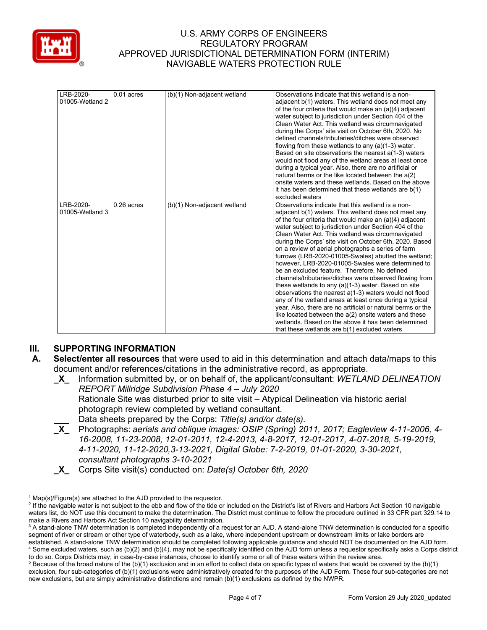

| LRB-2020-<br>01005-Wetland 2 | $0.01$ acres | (b)(1) Non-adjacent wetland | Observations indicate that this wetland is a non-<br>adjacent b(1) waters. This wetland does not meet any<br>of the four criteria that would make an (a)(4) adjacent<br>water subject to jurisdiction under Section 404 of the<br>Clean Water Act. This wetland was circumnavigated<br>during the Corps' site visit on October 6th, 2020. No<br>defined channels/tributaries/ditches were observed<br>flowing from these wetlands to any $(a)(1-3)$ water.<br>Based on site observations the nearest a(1-3) waters<br>would not flood any of the wetland areas at least once<br>during a typical year. Also, there are no artificial or<br>natural berms or the like located between the a(2)<br>onsite waters and these wetlands. Based on the above<br>it has been determined that these wetlands are b(1)<br>excluded waters                                                                                                                                                                                                             |
|------------------------------|--------------|-----------------------------|---------------------------------------------------------------------------------------------------------------------------------------------------------------------------------------------------------------------------------------------------------------------------------------------------------------------------------------------------------------------------------------------------------------------------------------------------------------------------------------------------------------------------------------------------------------------------------------------------------------------------------------------------------------------------------------------------------------------------------------------------------------------------------------------------------------------------------------------------------------------------------------------------------------------------------------------------------------------------------------------------------------------------------------------|
| LRB-2020-<br>01005-Wetland 3 | $0.26$ acres | (b)(1) Non-adjacent wetland | Observations indicate that this wetland is a non-<br>adjacent b(1) waters. This wetland does not meet any<br>of the four criteria that would make an (a)(4) adjacent<br>water subject to jurisdiction under Section 404 of the<br>Clean Water Act. This wetland was circumnavigated<br>during the Corps' site visit on October 6th, 2020. Based<br>on a review of aerial photographs a series of farm<br>furrows (LRB-2020-01005-Swales) abutted the wetland;<br>however, LRB-2020-01005-Swales were determined to<br>be an excluded feature. Therefore, No defined<br>channels/tributaries/ditches were observed flowing from<br>these wetlands to any (a)(1-3) water. Based on site<br>observations the nearest a(1-3) waters would not flood<br>any of the wetland areas at least once during a typical<br>year. Also, there are no artificial or natural berms or the<br>like located between the $a(2)$ onsite waters and these<br>wetlands. Based on the above it has been determined<br>that these wetlands are b(1) excluded waters |

# **III. SUPPORTING INFORMATION**

- **A. Select/enter all resources** that were used to aid in this determination and attach data/maps to this document and/or references/citations in the administrative record, as appropriate.
	- **\_X\_** Information submitted by, or on behalf of, the applicant/consultant: *WETLAND DELINEATION REPORT Millridge Subdivision Phase 4 – July 2020*

Rationale Site was disturbed prior to site visit – Atypical Delineation via historic aerial photograph review completed by wetland consultant.

- **\_\_\_** Data sheets prepared by the Corps: *Title(s) and/or date(s).*
- **\_X\_** Photographs: *aerials and oblique images: OSIP (Spring) 2011, 2017; Eagleview 4-11-2006, 4- 16-2008, 11-23-2008, 12-01-2011, 12-4-2013, 4-8-2017, 12-01-2017, 4-07-2018, 5-19-2019, 4-11-2020, 11-12-2020,3-13-2021, Digital Globe: 7-2-2019, 01-01-2020, 3-30-2021, consultant photographs 3-10-2021*
- **\_X\_** Corps Site visit(s) conducted on: *Date(s) October 6th, 2020*

 $1$  Map(s)/Figure(s) are attached to the AJD provided to the requestor.

<sup>&</sup>lt;sup>2</sup> If the navigable water is not subject to the ebb and flow of the tide or included on the District's list of Rivers and Harbors Act Section 10 navigable waters list, do NOT use this document to make the determination. The District must continue to follow the procedure outlined in 33 CFR part 329.14 to make a Rivers and Harbors Act Section 10 navigability determination.

<sup>&</sup>lt;sup>3</sup> A stand-alone TNW determination is completed independently of a request for an AJD. A stand-alone TNW determination is conducted for a specific segment of river or stream or other type of waterbody, such as a lake, where independent upstream or downstream limits or lake borders are established. A stand-alone TNW determination should be completed following applicable guidance and should NOT be documented on the AJD form. <sup>4</sup> Some excluded waters, such as (b)(2) and (b)(4), may not be specifically identified on the AJD form unless a requestor specifically asks a Corps district to do so. Corps Districts may, in case-by-case instances, choose to identify some or all of these waters within the review area.

 $5$  Because of the broad nature of the (b)(1) exclusion and in an effort to collect data on specific types of waters that would be covered by the (b)(1) exclusion, four sub-categories of (b)(1) exclusions were administratively created for the purposes of the AJD Form. These four sub-categories are not new exclusions, but are simply administrative distinctions and remain (b)(1) exclusions as defined by the NWPR.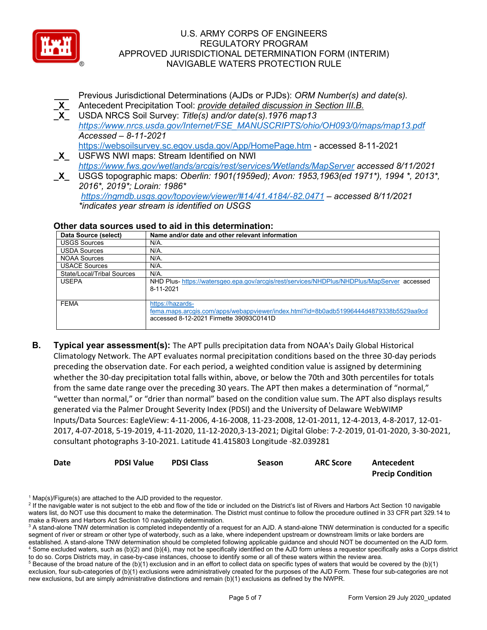

**\_\_\_** Previous Jurisdictional Determinations (AJDs or PJDs): *ORM Number(s) and date(s).* **\_X\_** Antecedent Precipitation Tool: *provide detailed discussion in Section III.B.* **\_X\_** USDA NRCS Soil Survey: *Title(s) and/or date(s).1976 map13 [https://www.nrcs.usda.gov/Internet/FSE\\_MANUSCRIPTS/ohio/OH093/0/maps/map13.pdf](https://www.nrcs.usda.gov/Internet/FSE_MANUSCRIPTS/ohio/OH093/0/maps/map13.pdf) Accessed – 8-11-2021* <https://websoilsurvey.sc.egov.usda.gov/App/HomePage.htm> - accessed 8-11-2021

**\_X\_** USFWS NWI maps: Stream Identified on NWI *<https://www.fws.gov/wetlands/arcgis/rest/services/Wetlands/MapServer> accessed 8/11/2021*

**\_X\_** USGS topographic maps: *Oberlin: 1901(1959ed); Avon: 1953,1963(ed 1971\*), 1994 \*, 2013\*, 2016\*, 2019\*; Lorain: 1986\* <https://ngmdb.usgs.gov/topoview/viewer/#14/41.4184/-82.0471> – accessed 8/11/2021 \*indicates year stream is identified on USGS*

#### **Other data sources used to aid in this determination:**

| Data Source (select)       | Name and/or date and other relevant information                                                                                                      |
|----------------------------|------------------------------------------------------------------------------------------------------------------------------------------------------|
| <b>USGS Sources</b>        | N/A.                                                                                                                                                 |
| <b>USDA Sources</b>        | N/A.                                                                                                                                                 |
| <b>NOAA Sources</b>        | $N/A$ .                                                                                                                                              |
| <b>USACE Sources</b>       | $N/A$ .                                                                                                                                              |
| State/Local/Tribal Sources | $N/A$ .                                                                                                                                              |
| <b>USEPA</b>               | NHD Plus-https://watersgeo.epa.gov/arcgis/rest/services/NHDPlus/NHDPlus/MapServer accessed<br>8-11-2021                                              |
| <b>FEMA</b>                | https://hazards-<br>fema.maps.arcgis.com/apps/webappviewer/index.html?id=8b0adb51996444d4879338b5529aa9cd<br>accessed 8-12-2021 Firmette 39093C0141D |

**B. Typical year assessment(s):** The APT pulls precipitation data from NOAA's Daily Global Historical Climatology Network. The APT evaluates normal precipitation conditions based on the three 30-day periods preceding the observation date. For each period, a weighted condition value is assigned by determining whether the 30-day precipitation total falls within, above, or below the 70th and 30th percentiles for totals from the same date range over the preceding 30 years. The APT then makes a determination of "normal," "wetter than normal," or "drier than normal" based on the condition value sum. The APT also displays results generated via the Palmer Drought Severity Index (PDSI) and the University of Delaware WebWIMP Inputs/Data Sources: EagleView: 4-11-2006, 4-16-2008, 11-23-2008, 12-01-2011, 12-4-2013, 4-8-2017, 12-01- 2017, 4-07-2018, 5-19-2019, 4-11-2020, 11-12-2020,3-13-2021; Digital Globe: 7-2-2019, 01-01-2020, 3-30-2021, consultant photographs 3-10-2021. Latitude 41.415803 Longitude -82.039281

| Date | <b>PDSI Value</b> | <b>PDSI Class</b> | <b>Season</b> | <b>ARC Score</b> | Antecedent              |
|------|-------------------|-------------------|---------------|------------------|-------------------------|
|      |                   |                   |               |                  | <b>Precip Condition</b> |

 $1$  Map(s)/Figure(s) are attached to the AJD provided to the requestor.

<sup>&</sup>lt;sup>2</sup> If the navigable water is not subject to the ebb and flow of the tide or included on the District's list of Rivers and Harbors Act Section 10 navigable waters list, do NOT use this document to make the determination. The District must continue to follow the procedure outlined in 33 CFR part 329.14 to make a Rivers and Harbors Act Section 10 navigability determination.

<sup>&</sup>lt;sup>3</sup> A stand-alone TNW determination is completed independently of a request for an AJD. A stand-alone TNW determination is conducted for a specific segment of river or stream or other type of waterbody, such as a lake, where independent upstream or downstream limits or lake borders are established. A stand-alone TNW determination should be completed following applicable guidance and should NOT be documented on the AJD form. <sup>4</sup> Some excluded waters, such as (b)(2) and (b)(4), may not be specifically identified on the AJD form unless a requestor specifically asks a Corps district to do so. Corps Districts may, in case-by-case instances, choose to identify some or all of these waters within the review area.

 $5$  Because of the broad nature of the (b)(1) exclusion and in an effort to collect data on specific types of waters that would be covered by the (b)(1) exclusion, four sub-categories of (b)(1) exclusions were administratively created for the purposes of the AJD Form. These four sub-categories are not new exclusions, but are simply administrative distinctions and remain (b)(1) exclusions as defined by the NWPR.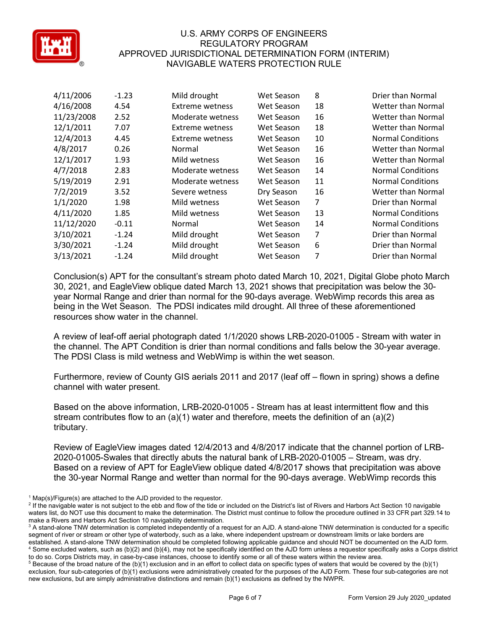

| 4/11/2006  | $-1.23$ | Mild drought     | Wet Season | 8  | Drier than Normal         |
|------------|---------|------------------|------------|----|---------------------------|
| 4/16/2008  | 4.54    | Extreme wetness  | Wet Season | 18 | Wetter than Normal        |
| 11/23/2008 | 2.52    | Moderate wetness | Wet Season | 16 | Wetter than Normal        |
| 12/1/2011  | 7.07    | Extreme wetness  | Wet Season | 18 | <b>Wetter than Normal</b> |
| 12/4/2013  | 4.45    | Extreme wetness  | Wet Season | 10 | <b>Normal Conditions</b>  |
| 4/8/2017   | 0.26    | Normal           | Wet Season | 16 | Wetter than Normal        |
| 12/1/2017  | 1.93    | Mild wetness     | Wet Season | 16 | <b>Wetter than Normal</b> |
| 4/7/2018   | 2.83    | Moderate wetness | Wet Season | 14 | <b>Normal Conditions</b>  |
| 5/19/2019  | 2.91    | Moderate wetness | Wet Season | 11 | <b>Normal Conditions</b>  |
| 7/2/2019   | 3.52    | Severe wetness   | Dry Season | 16 | <b>Wetter than Normal</b> |
| 1/1/2020   | 1.98    | Mild wetness     | Wet Season | 7  | Drier than Normal         |
| 4/11/2020  | 1.85    | Mild wetness     | Wet Season | 13 | <b>Normal Conditions</b>  |
| 11/12/2020 | $-0.11$ | Normal           | Wet Season | 14 | <b>Normal Conditions</b>  |
| 3/10/2021  | $-1.24$ | Mild drought     | Wet Season | 7  | Drier than Normal         |
| 3/30/2021  | $-1.24$ | Mild drought     | Wet Season | 6  | Drier than Normal         |
| 3/13/2021  | $-1.24$ | Mild drought     | Wet Season | 7  | Drier than Normal         |

Conclusion(s) APT for the consultant's stream photo dated March 10, 2021, Digital Globe photo March 30, 2021, and EagleView oblique dated March 13, 2021 shows that precipitation was below the 30 year Normal Range and drier than normal for the 90-days average. WebWimp records this area as being in the Wet Season. The PDSI indicates mild drought. All three of these aforementioned resources show water in the channel.

A review of leaf-off aerial photograph dated 1/1/2020 shows LRB-2020-01005 - Stream with water in the channel. The APT Condition is drier than normal conditions and falls below the 30-year average. The PDSI Class is mild wetness and WebWimp is within the wet season.

Furthermore, review of County GIS aerials 2011 and 2017 (leaf off – flown in spring) shows a define channel with water present.

Based on the above information, LRB-2020-01005 - Stream has at least intermittent flow and this stream contributes flow to an (a)(1) water and therefore, meets the definition of an (a)(2) tributary.

Review of EagleView images dated 12/4/2013 and 4/8/2017 indicate that the channel portion of LRB-2020-01005-Swales that directly abuts the natural bank of LRB-2020-01005 – Stream, was dry. Based on a review of APT for EagleView oblique dated 4/8/2017 shows that precipitation was above the 30-year Normal Range and wetter than normal for the 90-days average. WebWimp records this

 $1$  Map(s)/Figure(s) are attached to the AJD provided to the requestor.

<sup>&</sup>lt;sup>2</sup> If the navigable water is not subject to the ebb and flow of the tide or included on the District's list of Rivers and Harbors Act Section 10 navigable waters list, do NOT use this document to make the determination. The District must continue to follow the procedure outlined in 33 CFR part 329.14 to make a Rivers and Harbors Act Section 10 navigability determination.

<sup>&</sup>lt;sup>3</sup> A stand-alone TNW determination is completed independently of a request for an AJD. A stand-alone TNW determination is conducted for a specific segment of river or stream or other type of waterbody, such as a lake, where independent upstream or downstream limits or lake borders are established. A stand-alone TNW determination should be completed following applicable guidance and should NOT be documented on the AJD form. <sup>4</sup> Some excluded waters, such as (b)(2) and (b)(4), may not be specifically identified on the AJD form unless a requestor specifically asks a Corps district to do so. Corps Districts may, in case-by-case instances, choose to identify some or all of these waters within the review area.

 $5$  Because of the broad nature of the (b)(1) exclusion and in an effort to collect data on specific types of waters that would be covered by the (b)(1) exclusion, four sub-categories of (b)(1) exclusions were administratively created for the purposes of the AJD Form. These four sub-categories are not new exclusions, but are simply administrative distinctions and remain (b)(1) exclusions as defined by the NWPR.